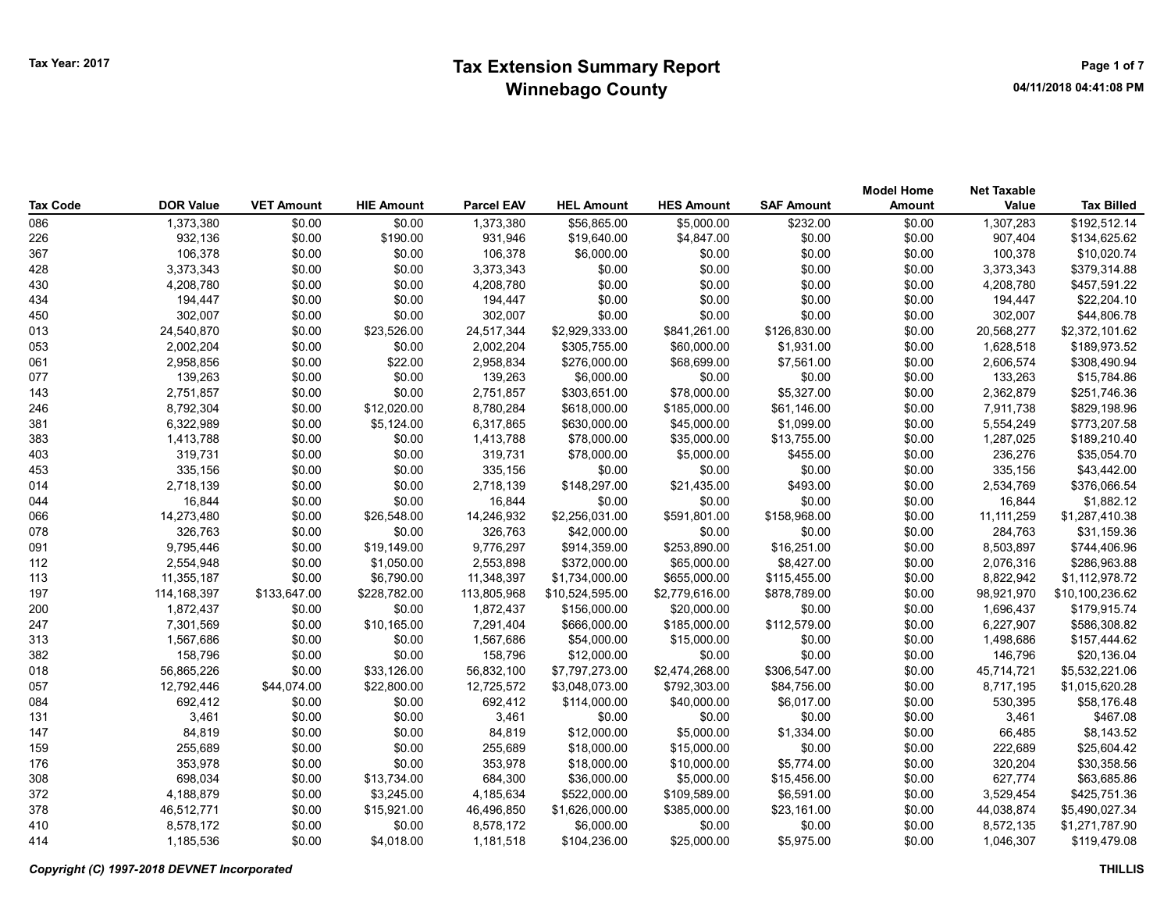| <b>Tax Code</b> | <b>DOR Value</b> | <b>VET Amount</b> | <b>HIE Amount</b> | <b>Parcel EAV</b> | <b>HEL Amount</b> | <b>HES Amount</b> | <b>SAF Amount</b> | <b>Model Home</b><br><b>Amount</b> | <b>Net Taxable</b><br>Value | <b>Tax Billed</b> |
|-----------------|------------------|-------------------|-------------------|-------------------|-------------------|-------------------|-------------------|------------------------------------|-----------------------------|-------------------|
| 086             | 1,373,380        | \$0.00            | \$0.00            | 1,373,380         | \$56,865.00       | \$5,000.00        | \$232.00          | \$0.00                             | 1,307,283                   | \$192,512.14      |
| 226             | 932,136          | \$0.00            | \$190.00          | 931,946           | \$19,640.00       | \$4,847.00        | \$0.00            | \$0.00                             | 907,404                     | \$134,625.62      |
| 367             | 106,378          | \$0.00            | \$0.00            | 106,378           | \$6,000.00        | \$0.00            | \$0.00            | \$0.00                             | 100,378                     | \$10,020.74       |
| 428             | 3,373,343        | \$0.00            | \$0.00            | 3,373,343         | \$0.00            | \$0.00            | \$0.00            | \$0.00                             | 3,373,343                   | \$379,314.88      |
| 430             | 4,208,780        | \$0.00            | \$0.00            | 4,208,780         | \$0.00            | \$0.00            | \$0.00            | \$0.00                             | 4,208,780                   | \$457,591.22      |
| 434             | 194,447          | \$0.00            | \$0.00            | 194,447           | \$0.00            | \$0.00            | \$0.00            | \$0.00                             | 194,447                     | \$22,204.10       |
| 450             | 302,007          | \$0.00            | \$0.00            | 302,007           | \$0.00            | \$0.00            | \$0.00            | \$0.00                             | 302,007                     | \$44,806.78       |
| 013             | 24,540,870       | \$0.00            | \$23,526.00       | 24,517,344        | \$2,929,333.00    | \$841,261.00      | \$126,830.00      | \$0.00                             | 20,568,277                  | \$2,372,101.62    |
| 053             | 2,002,204        | \$0.00            | \$0.00            | 2,002,204         | \$305,755.00      | \$60,000.00       | \$1,931.00        | \$0.00                             | 1,628,518                   | \$189,973.52      |
| 061             | 2,958,856        | \$0.00            | \$22.00           | 2,958,834         | \$276,000.00      | \$68,699.00       | \$7,561.00        | \$0.00                             | 2,606,574                   | \$308,490.94      |
| 077             | 139,263          | \$0.00            | \$0.00            | 139,263           | \$6,000.00        | \$0.00            | \$0.00            | \$0.00                             | 133,263                     | \$15,784.86       |
| 143             | 2,751,857        | \$0.00            | \$0.00            | 2,751,857         | \$303,651.00      | \$78,000.00       | \$5,327.00        | \$0.00                             | 2,362,879                   | \$251,746.36      |
| 246             | 8,792,304        | \$0.00            | \$12,020.00       | 8,780,284         | \$618,000.00      | \$185,000.00      | \$61,146.00       | \$0.00                             | 7,911,738                   | \$829,198.96      |
| 381             | 6,322,989        | \$0.00            | \$5,124.00        | 6,317,865         | \$630,000.00      | \$45,000.00       | \$1,099.00        | \$0.00                             | 5,554,249                   | \$773,207.58      |
| 383             | 1,413,788        | \$0.00            | \$0.00            | 1,413,788         | \$78,000.00       | \$35,000.00       | \$13,755.00       | \$0.00                             | 1,287,025                   | \$189,210.40      |
| 403             | 319,731          | \$0.00            | \$0.00            | 319,731           | \$78,000.00       | \$5,000.00        | \$455.00          | \$0.00                             | 236,276                     | \$35,054.70       |
| 453             | 335,156          | \$0.00            | \$0.00            | 335,156           | \$0.00            | \$0.00            | \$0.00            | \$0.00                             | 335,156                     | \$43,442.00       |
| 014             | 2,718,139        | \$0.00            | \$0.00            | 2,718,139         | \$148,297.00      | \$21,435.00       | \$493.00          | \$0.00                             | 2,534,769                   | \$376,066.54      |
| 044             | 16,844           | \$0.00            | \$0.00            | 16,844            | \$0.00            | \$0.00            | \$0.00            | \$0.00                             | 16,844                      | \$1,882.12        |
| 066             | 14,273,480       | \$0.00            | \$26,548.00       | 14,246,932        | \$2,256,031.00    | \$591,801.00      | \$158,968.00      | \$0.00                             | 11, 111, 259                | \$1,287,410.38    |
| 078             | 326,763          | \$0.00            | \$0.00            | 326,763           | \$42,000.00       | \$0.00            | \$0.00            | \$0.00                             | 284,763                     | \$31,159.36       |
| 091             | 9,795,446        | \$0.00            | \$19,149.00       | 9,776,297         | \$914,359.00      | \$253,890.00      | \$16,251.00       | \$0.00                             | 8,503,897                   | \$744,406.96      |
| 112             | 2,554,948        | \$0.00            | \$1,050.00        | 2,553,898         | \$372,000.00      | \$65,000.00       | \$8,427.00        | \$0.00                             | 2,076,316                   | \$286,963.88      |
| 113             | 11,355,187       | \$0.00            | \$6,790.00        | 11,348,397        | \$1,734,000.00    | \$655,000.00      | \$115,455.00      | \$0.00                             | 8,822,942                   | \$1,112,978.72    |
| 197             | 114,168,397      | \$133,647.00      | \$228,782.00      | 113,805,968       | \$10,524,595.00   | \$2,779,616.00    | \$878,789.00      | \$0.00                             | 98,921,970                  | \$10,100,236.62   |
| 200             | 1,872,437        | \$0.00            | \$0.00            | 1,872,437         | \$156,000.00      | \$20,000.00       | \$0.00            | \$0.00                             | 1,696,437                   | \$179,915.74      |
| 247             | 7,301,569        | \$0.00            | \$10,165.00       | 7,291,404         | \$666,000.00      | \$185,000.00      | \$112,579.00      | \$0.00                             | 6,227,907                   | \$586,308.82      |
| 313             | 1,567,686        | \$0.00            | \$0.00            | 1,567,686         | \$54,000.00       | \$15,000.00       | \$0.00            | \$0.00                             | 1,498,686                   | \$157,444.62      |
| 382             | 158,796          | \$0.00            | \$0.00            | 158,796           | \$12,000.00       | \$0.00            | \$0.00            | \$0.00                             | 146,796                     | \$20,136.04       |
| 018             | 56,865,226       | \$0.00            | \$33,126.00       | 56,832,100        | \$7,797,273.00    | \$2,474,268.00    | \$306,547.00      | \$0.00                             | 45,714,721                  | \$5,532,221.06    |
| 057             | 12,792,446       | \$44,074.00       | \$22,800.00       | 12,725,572        | \$3,048,073.00    | \$792,303.00      | \$84,756.00       | \$0.00                             | 8,717,195                   | \$1,015,620.28    |
| 084             | 692,412          | \$0.00            | \$0.00            | 692,412           | \$114,000.00      | \$40,000.00       | \$6,017.00        | \$0.00                             | 530,395                     | \$58,176.48       |
| 131             | 3,461            | \$0.00            | \$0.00            | 3,461             | \$0.00            | \$0.00            | \$0.00            | \$0.00                             | 3,461                       | \$467.08          |
| 147             | 84,819           | \$0.00            | \$0.00            | 84,819            | \$12,000.00       | \$5,000.00        | \$1,334.00        | \$0.00                             | 66,485                      | \$8,143.52        |
| 159             | 255,689          | \$0.00            | \$0.00            | 255,689           | \$18,000.00       | \$15,000.00       | \$0.00            | \$0.00                             | 222,689                     | \$25,604.42       |
| 176             | 353,978          | \$0.00            | \$0.00            | 353,978           | \$18,000.00       | \$10,000.00       | \$5,774.00        | \$0.00                             | 320,204                     | \$30,358.56       |
| 308             | 698,034          | \$0.00            | \$13,734.00       | 684,300           | \$36,000.00       | \$5,000.00        | \$15,456.00       | \$0.00                             | 627,774                     | \$63,685.86       |
| 372             | 4,188,879        | \$0.00            | \$3,245.00        | 4,185,634         | \$522,000.00      | \$109,589.00      | \$6,591.00        | \$0.00                             | 3,529,454                   | \$425,751.36      |
| 378             | 46,512,771       | \$0.00            | \$15,921.00       | 46,496,850        | \$1,626,000.00    | \$385,000.00      | \$23,161.00       | \$0.00                             | 44,038,874                  | \$5,490,027.34    |
| 410             | 8,578,172        | \$0.00            | \$0.00            | 8,578,172         | \$6,000.00        | \$0.00            | \$0.00            | \$0.00                             | 8,572,135                   | \$1,271,787.90    |
| 414             | 1,185,536        | \$0.00            | \$4,018.00        | 1,181,518         | \$104,236.00      | \$25,000.00       | \$5.975.00        | \$0.00                             | 1.046.307                   | \$119,479.08      |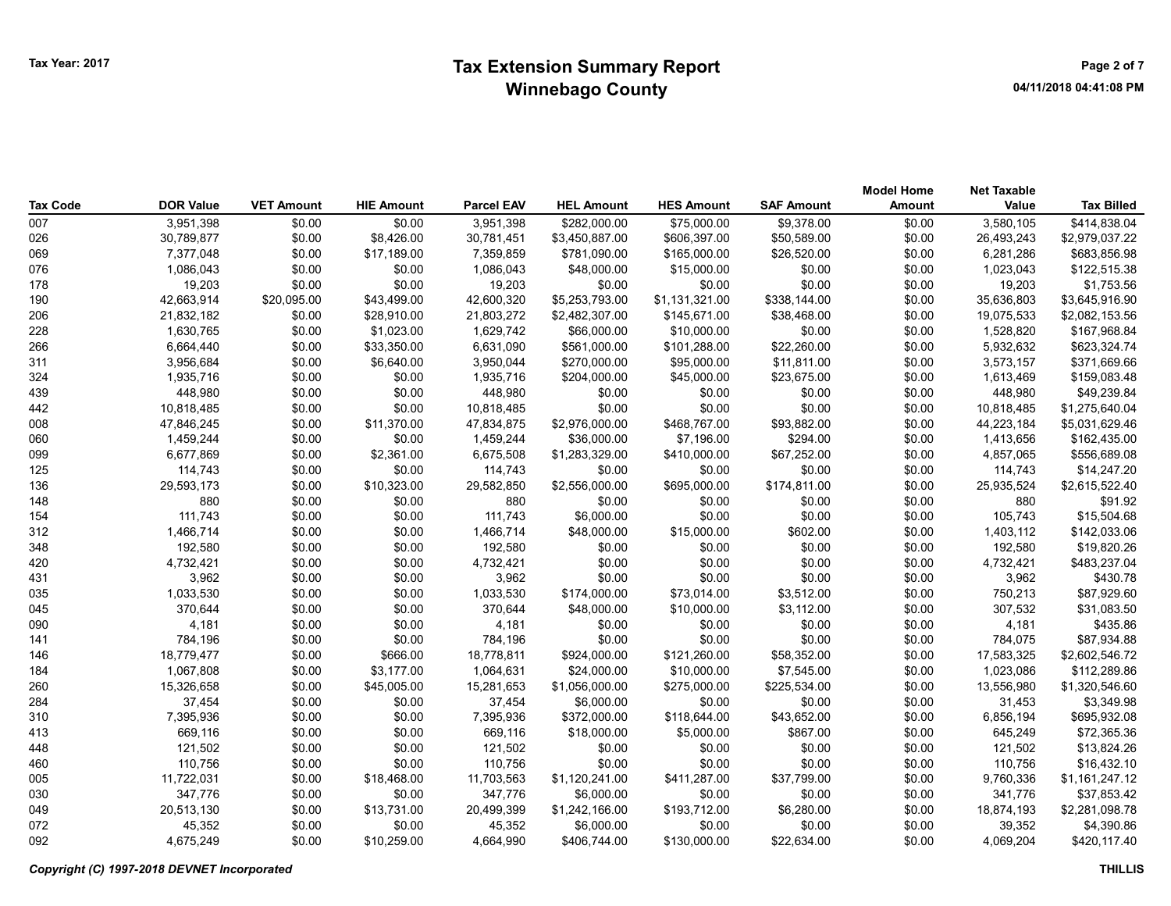## Tax Year: 2017 **Extension Summary Report Number 2017** Page 2 of 7 Winnebago County

| <b>Tax Code</b> | <b>DOR Value</b> | <b>VET Amount</b> | <b>HIE Amount</b> | <b>Parcel EAV</b> | <b>HEL Amount</b> | <b>HES Amount</b> | <b>SAF Amount</b> | <b>Model Home</b><br>Amount | <b>Net Taxable</b><br>Value | <b>Tax Billed</b> |
|-----------------|------------------|-------------------|-------------------|-------------------|-------------------|-------------------|-------------------|-----------------------------|-----------------------------|-------------------|
| 007             | 3,951,398        | \$0.00            | \$0.00            | 3,951,398         | \$282,000.00      | \$75,000.00       | \$9,378.00        | \$0.00                      | 3,580,105                   | \$414,838.04      |
| 026             | 30,789,877       | \$0.00            | \$8,426.00        | 30,781,451        | \$3,450,887.00    | \$606,397.00      | \$50,589.00       | \$0.00                      | 26,493,243                  | \$2,979,037.22    |
| 069             | 7,377,048        | \$0.00            | \$17,189.00       | 7,359,859         | \$781,090.00      | \$165,000.00      | \$26,520.00       | \$0.00                      | 6,281,286                   | \$683,856.98      |
| 076             | 1,086,043        | \$0.00            | \$0.00            | 1,086,043         | \$48,000.00       | \$15,000.00       | \$0.00            | \$0.00                      | 1,023,043                   | \$122,515.38      |
| 178             | 19,203           | \$0.00            | \$0.00            | 19,203            | \$0.00            | \$0.00            | \$0.00            | \$0.00                      | 19,203                      | \$1,753.56        |
| 190             | 42,663,914       | \$20,095.00       | \$43,499.00       | 42,600,320        | \$5,253,793.00    | \$1,131,321.00    | \$338,144.00      | \$0.00                      | 35,636,803                  | \$3,645,916.90    |
| 206             | 21,832,182       | \$0.00            | \$28,910.00       | 21,803,272        | \$2,482,307.00    | \$145,671.00      | \$38,468.00       | \$0.00                      | 19,075,533                  | \$2,082,153.56    |
| 228             | 1,630,765        | \$0.00            | \$1,023.00        | 1,629,742         | \$66,000.00       | \$10,000.00       | \$0.00            | \$0.00                      | 1,528,820                   | \$167,968.84      |
| 266             | 6,664,440        | \$0.00            | \$33,350.00       | 6,631,090         | \$561,000.00      | \$101,288.00      | \$22,260.00       | \$0.00                      | 5,932,632                   | \$623,324.74      |
| 311             | 3,956,684        | \$0.00            | \$6,640.00        | 3,950,044         | \$270,000.00      | \$95,000.00       | \$11,811.00       | \$0.00                      | 3,573,157                   | \$371,669.66      |
| 324             | 1,935,716        | \$0.00            | \$0.00            | 1,935,716         | \$204,000.00      | \$45,000.00       | \$23,675.00       | \$0.00                      | 1,613,469                   | \$159,083.48      |
| 439             | 448,980          | \$0.00            | \$0.00            | 448,980           | \$0.00            | \$0.00            | \$0.00            | \$0.00                      | 448,980                     | \$49,239.84       |
| 442             | 10,818,485       | \$0.00            | \$0.00            | 10,818,485        | \$0.00            | \$0.00            | \$0.00            | \$0.00                      | 10,818,485                  | \$1,275,640.04    |
| 008             | 47,846,245       | \$0.00            | \$11,370.00       | 47,834,875        | \$2,976,000.00    | \$468,767.00      | \$93,882.00       | \$0.00                      | 44,223,184                  | \$5,031,629.46    |
| 060             | 1,459,244        | \$0.00            | \$0.00            | 1,459,244         | \$36,000.00       | \$7,196.00        | \$294.00          | \$0.00                      | 1,413,656                   | \$162,435.00      |
| 099             | 6,677,869        | \$0.00            | \$2,361.00        | 6,675,508         | \$1,283,329.00    | \$410,000.00      | \$67,252.00       | \$0.00                      | 4,857,065                   | \$556,689.08      |
| 125             | 114,743          | \$0.00            | \$0.00            | 114,743           | \$0.00            | \$0.00            | \$0.00            | \$0.00                      | 114,743                     | \$14,247.20       |
| 136             | 29,593,173       | \$0.00            | \$10,323.00       | 29,582,850        | \$2,556,000.00    | \$695,000.00      | \$174,811.00      | \$0.00                      | 25,935,524                  | \$2,615,522.40    |
| 148             | 880              | \$0.00            | \$0.00            | 880               | \$0.00            | \$0.00            | \$0.00            | \$0.00                      | 880                         | \$91.92           |
| 154             | 111,743          | \$0.00            | \$0.00            | 111,743           | \$6,000.00        | \$0.00            | \$0.00            | \$0.00                      | 105,743                     | \$15,504.68       |
| 312             | 1,466,714        | \$0.00            | \$0.00            | 1,466,714         | \$48,000.00       | \$15,000.00       | \$602.00          | \$0.00                      | 1,403,112                   | \$142,033.06      |
| 348             | 192,580          | \$0.00            | \$0.00            | 192,580           | \$0.00            | \$0.00            | \$0.00            | \$0.00                      | 192,580                     | \$19,820.26       |
| 420             | 4,732,421        | \$0.00            | \$0.00            | 4,732,421         | \$0.00            | \$0.00            | \$0.00            | \$0.00                      | 4,732,421                   | \$483,237.04      |
| 431             | 3,962            | \$0.00            | \$0.00            | 3,962             | \$0.00            | \$0.00            | \$0.00            | \$0.00                      | 3,962                       | \$430.78          |
| 035             | 1,033,530        | \$0.00            | \$0.00            | 1,033,530         | \$174,000.00      | \$73,014.00       | \$3,512.00        | \$0.00                      | 750,213                     | \$87,929.60       |
| 045             | 370,644          | \$0.00            | \$0.00            | 370,644           | \$48,000.00       | \$10,000.00       | \$3,112.00        | \$0.00                      | 307,532                     | \$31,083.50       |
| 090             | 4,181            | \$0.00            | \$0.00            | 4,181             | \$0.00            | \$0.00            | \$0.00            | \$0.00                      | 4,181                       | \$435.86          |
| 141             | 784,196          | \$0.00            | \$0.00            | 784,196           | \$0.00            | \$0.00            | \$0.00            | \$0.00                      | 784,075                     | \$87,934.88       |
| 146             | 18,779,477       | \$0.00            | \$666.00          | 18,778,811        | \$924,000.00      | \$121,260.00      | \$58,352.00       | \$0.00                      | 17,583,325                  | \$2,602,546.72    |
| 184             | 1,067,808        | \$0.00            | \$3,177.00        | 1,064,631         | \$24,000.00       | \$10,000.00       | \$7,545.00        | \$0.00                      | 1,023,086                   | \$112,289.86      |
| 260             | 15,326,658       | \$0.00            | \$45,005.00       | 15,281,653        | \$1,056,000.00    | \$275,000.00      | \$225,534.00      | \$0.00                      | 13,556,980                  | \$1,320,546.60    |
| 284             | 37,454           | \$0.00            | \$0.00            | 37,454            | \$6,000.00        | \$0.00            | \$0.00            | \$0.00                      | 31,453                      | \$3,349.98        |
| 310             | 7,395,936        | \$0.00            | \$0.00            | 7,395,936         | \$372,000.00      | \$118,644.00      | \$43,652.00       | \$0.00                      | 6,856,194                   | \$695,932.08      |
| 413             | 669,116          | \$0.00            | \$0.00            | 669,116           | \$18,000.00       | \$5,000.00        | \$867.00          | \$0.00                      | 645,249                     | \$72,365.36       |
| 448             | 121,502          | \$0.00            | \$0.00            | 121,502           | \$0.00            | \$0.00            | \$0.00            | \$0.00                      | 121,502                     | \$13,824.26       |
| 460             | 110,756          | \$0.00            | \$0.00            | 110,756           | \$0.00            | \$0.00            | \$0.00            | \$0.00                      | 110,756                     | \$16,432.10       |
| 005             | 11,722,031       | \$0.00            | \$18,468.00       | 11,703,563        | \$1,120,241.00    | \$411,287.00      | \$37,799.00       | \$0.00                      | 9,760,336                   | \$1,161,247.12    |
| 030             | 347,776          | \$0.00            | \$0.00            | 347,776           | \$6,000.00        | \$0.00            | \$0.00            | \$0.00                      | 341,776                     | \$37,853.42       |
| 049             | 20,513,130       | \$0.00            | \$13,731.00       | 20,499,399        | \$1,242,166.00    | \$193,712.00      | \$6,280.00        | \$0.00                      | 18,874,193                  | \$2,281,098.78    |
| 072             | 45,352           | \$0.00            | \$0.00            | 45,352            | \$6,000.00        | \$0.00            | \$0.00            | \$0.00                      | 39,352                      | \$4,390.86        |
| 092             | 4,675,249        | \$0.00            | \$10.259.00       | 4,664,990         | \$406,744.00      | \$130,000.00      | \$22,634.00       | \$0.00                      | 4.069.204                   | \$420,117.40      |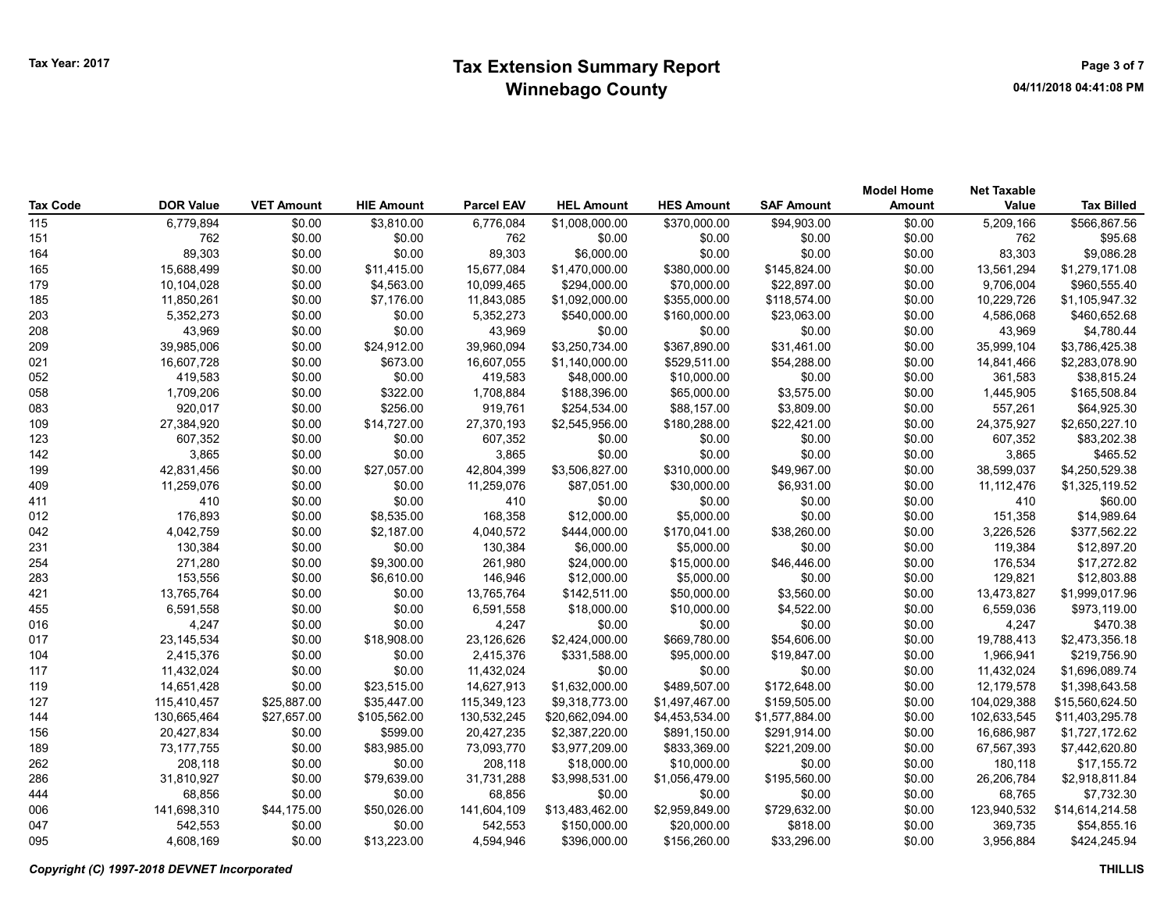|                 |                  |                   |                   |                   |                   |                   |                   | <b>Model Home</b> | <b>Net Taxable</b> |                   |
|-----------------|------------------|-------------------|-------------------|-------------------|-------------------|-------------------|-------------------|-------------------|--------------------|-------------------|
| <b>Tax Code</b> | <b>DOR Value</b> | <b>VET Amount</b> | <b>HIE Amount</b> | <b>Parcel EAV</b> | <b>HEL Amount</b> | <b>HES Amount</b> | <b>SAF Amount</b> | <b>Amount</b>     | Value              | <b>Tax Billed</b> |
| 115             | 6,779,894        | \$0.00            | \$3,810.00        | 6,776,084         | \$1,008,000.00    | \$370,000.00      | \$94,903.00       | \$0.00            | 5,209,166          | \$566,867.56      |
| 151             | 762              | \$0.00            | \$0.00            | 762               | \$0.00            | \$0.00            | \$0.00            | \$0.00            | 762                | \$95.68           |
| 164             | 89,303           | \$0.00            | \$0.00            | 89,303            | \$6,000.00        | \$0.00            | \$0.00            | \$0.00            | 83,303             | \$9,086.28        |
| 165             | 15,688,499       | \$0.00            | \$11,415.00       | 15,677,084        | \$1,470,000.00    | \$380,000.00      | \$145,824.00      | \$0.00            | 13,561,294         | \$1,279,171.08    |
| 179             | 10,104,028       | \$0.00            | \$4,563.00        | 10,099,465        | \$294,000.00      | \$70,000.00       | \$22,897.00       | \$0.00            | 9,706,004          | \$960,555.40      |
| 185             | 11,850,261       | \$0.00            | \$7,176.00        | 11,843,085        | \$1,092,000.00    | \$355,000.00      | \$118,574.00      | \$0.00            | 10,229,726         | \$1,105,947.32    |
| 203             | 5,352,273        | \$0.00            | \$0.00            | 5,352,273         | \$540,000.00      | \$160,000.00      | \$23,063.00       | \$0.00            | 4,586,068          | \$460,652.68      |
| 208             | 43,969           | \$0.00            | \$0.00            | 43,969            | \$0.00            | \$0.00            | \$0.00            | \$0.00            | 43,969             | \$4,780.44        |
| 209             | 39,985,006       | \$0.00            | \$24,912.00       | 39,960,094        | \$3,250,734.00    | \$367,890.00      | \$31,461.00       | \$0.00            | 35,999,104         | \$3,786,425.38    |
| 021             | 16,607,728       | \$0.00            | \$673.00          | 16,607,055        | \$1,140,000.00    | \$529,511.00      | \$54,288.00       | \$0.00            | 14,841,466         | \$2,283,078.90    |
| 052             | 419,583          | \$0.00            | \$0.00            | 419,583           | \$48,000.00       | \$10,000.00       | \$0.00            | \$0.00            | 361,583            | \$38,815.24       |
| 058             | 1,709,206        | \$0.00            | \$322.00          | 1,708,884         | \$188,396.00      | \$65,000.00       | \$3,575.00        | \$0.00            | 1,445,905          | \$165,508.84      |
| 083             | 920,017          | \$0.00            | \$256.00          | 919,761           | \$254,534.00      | \$88,157.00       | \$3,809.00        | \$0.00            | 557,261            | \$64,925.30       |
| 109             | 27,384,920       | \$0.00            | \$14,727.00       | 27,370,193        | \$2,545,956.00    | \$180,288.00      | \$22,421.00       | \$0.00            | 24,375,927         | \$2,650,227.10    |
| 123             | 607,352          | \$0.00            | \$0.00            | 607,352           | \$0.00            | \$0.00            | \$0.00            | \$0.00            | 607,352            | \$83,202.38       |
| 142             | 3,865            | \$0.00            | \$0.00            | 3,865             | \$0.00            | \$0.00            | \$0.00            | \$0.00            | 3,865              | \$465.52          |
| 199             | 42,831,456       | \$0.00            | \$27,057.00       | 42,804,399        | \$3,506,827.00    | \$310,000.00      | \$49,967.00       | \$0.00            | 38,599,037         | \$4,250,529.38    |
| 409             | 11,259,076       | \$0.00            | \$0.00            | 11,259,076        | \$87,051.00       | \$30,000.00       | \$6,931.00        | \$0.00            | 11, 112, 476       | \$1,325,119.52    |
| 411             | 410              | \$0.00            | \$0.00            | 410               | \$0.00            | \$0.00            | \$0.00            | \$0.00            | 410                | \$60.00           |
| 012             | 176,893          | \$0.00            | \$8,535.00        | 168,358           | \$12,000.00       | \$5,000.00        | \$0.00            | \$0.00            | 151,358            | \$14,989.64       |
| 042             | 4,042,759        | \$0.00            | \$2,187.00        | 4,040,572         | \$444,000.00      | \$170,041.00      | \$38,260.00       | \$0.00            | 3,226,526          | \$377,562.22      |
| 231             | 130,384          | \$0.00            | \$0.00            | 130,384           | \$6,000.00        | \$5,000.00        | \$0.00            | \$0.00            | 119,384            | \$12,897.20       |
| 254             | 271,280          | \$0.00            | \$9,300.00        | 261,980           | \$24,000.00       | \$15,000.00       | \$46,446.00       | \$0.00            | 176,534            | \$17,272.82       |
| 283             | 153,556          | \$0.00            | \$6,610.00        | 146,946           | \$12,000.00       | \$5,000.00        | \$0.00            | \$0.00            | 129,821            | \$12,803.88       |
| 421             | 13,765,764       | \$0.00            | \$0.00            | 13,765,764        | \$142,511.00      | \$50,000.00       | \$3,560.00        | \$0.00            | 13,473,827         | \$1,999,017.96    |
| 455             | 6,591,558        | \$0.00            | \$0.00            | 6,591,558         | \$18,000.00       | \$10,000.00       | \$4,522.00        | \$0.00            | 6,559,036          | \$973,119.00      |
| 016             | 4,247            | \$0.00            | \$0.00            | 4,247             | \$0.00            | \$0.00            | \$0.00            | \$0.00            | 4,247              | \$470.38          |
| 017             | 23, 145, 534     | \$0.00            | \$18,908.00       | 23,126,626        | \$2,424,000.00    | \$669,780.00      | \$54,606.00       | \$0.00            | 19,788,413         | \$2,473,356.18    |
| 104             | 2,415,376        | \$0.00            | \$0.00            | 2,415,376         | \$331,588.00      | \$95,000.00       | \$19,847.00       | \$0.00            | 1,966,941          | \$219,756.90      |
| 117             | 11,432,024       | \$0.00            | \$0.00            | 11,432,024        | \$0.00            | \$0.00            | \$0.00            | \$0.00            | 11,432,024         | \$1,696,089.74    |
| 119             | 14,651,428       | \$0.00            | \$23,515.00       | 14,627,913        | \$1,632,000.00    | \$489,507.00      | \$172,648.00      | \$0.00            | 12,179,578         | \$1,398,643.58    |
| 127             | 115,410,457      | \$25,887.00       | \$35,447.00       | 115,349,123       | \$9,318,773.00    | \$1,497,467.00    | \$159,505.00      | \$0.00            | 104,029,388        | \$15,560,624.50   |
| 144             | 130,665,464      | \$27,657.00       | \$105,562.00      | 130,532,245       | \$20,662,094.00   | \$4,453,534.00    | \$1,577,884.00    | \$0.00            | 102,633,545        | \$11,403,295.78   |
| 156             | 20,427,834       | \$0.00            | \$599.00          | 20,427,235        | \$2,387,220.00    | \$891,150.00      | \$291,914.00      | \$0.00            | 16,686,987         | \$1,727,172.62    |
| 189             | 73,177,755       | \$0.00            | \$83,985.00       | 73,093,770        | \$3,977,209.00    | \$833,369.00      | \$221,209.00      | \$0.00            | 67,567,393         | \$7,442,620.80    |
| 262             | 208,118          | \$0.00            | \$0.00            | 208,118           | \$18,000.00       | \$10,000.00       | \$0.00            | \$0.00            | 180,118            | \$17,155.72       |
| 286             | 31,810,927       | \$0.00            | \$79,639.00       | 31,731,288        | \$3,998,531.00    | \$1,056,479.00    | \$195,560.00      | \$0.00            | 26,206,784         | \$2,918,811.84    |
| 444             | 68,856           | \$0.00            | \$0.00            | 68,856            | \$0.00            | \$0.00            | \$0.00            | \$0.00            | 68,765             | \$7,732.30        |
| 006             | 141,698,310      | \$44,175.00       | \$50,026.00       | 141,604,109       | \$13,483,462.00   | \$2,959,849.00    | \$729,632.00      | \$0.00            | 123,940,532        | \$14,614,214.58   |
| 047             | 542,553          | \$0.00            | \$0.00            | 542,553           | \$150,000.00      | \$20,000.00       | \$818.00          | \$0.00            | 369,735            | \$54,855.16       |
| 095             | 4,608,169        | \$0.00            | \$13,223.00       | 4,594,946         | \$396,000.00      | \$156,260.00      | \$33,296.00       | \$0.00            | 3,956,884          | \$424,245.94      |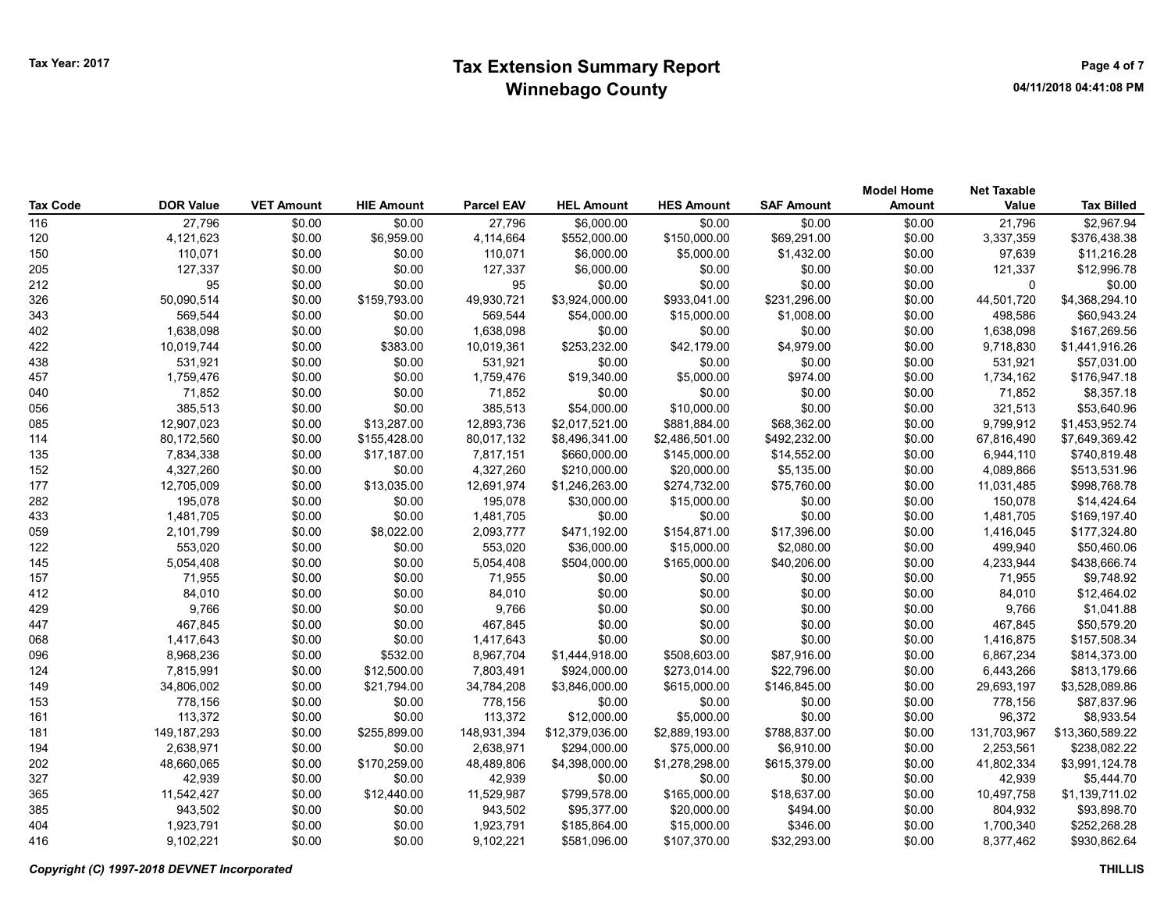| <b>Tax Code</b> | <b>DOR Value</b> | <b>VET Amount</b> | <b>HIE Amount</b> | <b>Parcel EAV</b> | <b>HEL Amount</b> | <b>HES Amount</b> | <b>SAF Amount</b> | <b>Model Home</b><br>Amount | <b>Net Taxable</b><br>Value | <b>Tax Billed</b> |
|-----------------|------------------|-------------------|-------------------|-------------------|-------------------|-------------------|-------------------|-----------------------------|-----------------------------|-------------------|
| 116             | 27,796           | \$0.00            | \$0.00            | 27,796            | \$6,000.00        | \$0.00            | \$0.00            | \$0.00                      | 21,796                      | \$2,967.94        |
| 120             | 4,121,623        | \$0.00            | \$6,959.00        | 4,114,664         | \$552,000.00      | \$150,000.00      | \$69,291.00       | \$0.00                      | 3,337,359                   | \$376,438.38      |
| 150             | 110,071          | \$0.00            | \$0.00            | 110,071           | \$6,000.00        | \$5,000.00        | \$1,432.00        | \$0.00                      | 97,639                      | \$11,216.28       |
| 205             | 127,337          | \$0.00            | \$0.00            | 127,337           | \$6,000.00        | \$0.00            | \$0.00            | \$0.00                      | 121,337                     | \$12,996.78       |
| 212             | 95               | \$0.00            | \$0.00            | 95                | \$0.00            | \$0.00            | \$0.00            | \$0.00                      | $\Omega$                    | \$0.00            |
| 326             | 50,090,514       | \$0.00            | \$159,793.00      | 49,930,721        | \$3,924,000.00    | \$933,041.00      | \$231,296.00      | \$0.00                      | 44,501,720                  | \$4,368,294.10    |
| 343             | 569,544          | \$0.00            | \$0.00            | 569,544           | \$54,000.00       | \$15,000.00       | \$1,008.00        | \$0.00                      | 498,586                     | \$60,943.24       |
| 402             | 1,638,098        | \$0.00            | \$0.00            | 1,638,098         | \$0.00            | \$0.00            | \$0.00            | \$0.00                      | 1,638,098                   | \$167,269.56      |
| 422             | 10,019,744       | \$0.00            | \$383.00          | 10,019,361        | \$253,232.00      | \$42,179.00       | \$4,979.00        | \$0.00                      | 9,718,830                   | \$1,441,916.26    |
| 438             | 531,921          | \$0.00            | \$0.00            | 531,921           | \$0.00            | \$0.00            | \$0.00            | \$0.00                      | 531,921                     | \$57,031.00       |
| 457             | 1,759,476        | \$0.00            | \$0.00            | 1,759,476         | \$19,340.00       | \$5,000.00        | \$974.00          | \$0.00                      | 1,734,162                   | \$176,947.18      |
| 040             | 71,852           | \$0.00            | \$0.00            | 71,852            | \$0.00            | \$0.00            | \$0.00            | \$0.00                      | 71,852                      | \$8,357.18        |
| 056             | 385,513          | \$0.00            | \$0.00            | 385,513           | \$54,000.00       | \$10,000.00       | \$0.00            | \$0.00                      | 321,513                     | \$53,640.96       |
| 085             | 12,907,023       | \$0.00            | \$13,287.00       | 12,893,736        | \$2,017,521.00    | \$881,884.00      | \$68,362.00       | \$0.00                      | 9,799,912                   | \$1,453,952.74    |
| 114             | 80,172,560       | \$0.00            | \$155,428.00      | 80,017,132        | \$8,496,341.00    | \$2,486,501.00    | \$492,232.00      | \$0.00                      | 67,816,490                  | \$7,649,369.42    |
| 135             | 7,834,338        | \$0.00            | \$17,187.00       | 7,817,151         | \$660,000.00      | \$145,000.00      | \$14,552.00       | \$0.00                      | 6,944,110                   | \$740,819.48      |
| 152             | 4,327,260        | \$0.00            | \$0.00            | 4,327,260         | \$210,000.00      | \$20,000.00       | \$5,135.00        | \$0.00                      | 4,089,866                   | \$513,531.96      |
| 177             | 12,705,009       | \$0.00            | \$13,035.00       | 12,691,974        | \$1,246,263.00    | \$274,732.00      | \$75,760.00       | \$0.00                      | 11,031,485                  | \$998,768.78      |
| 282             | 195,078          | \$0.00            | \$0.00            | 195,078           | \$30,000.00       | \$15,000.00       | \$0.00            | \$0.00                      | 150,078                     | \$14,424.64       |
| 433             | 1,481,705        | \$0.00            | \$0.00            | 1,481,705         | \$0.00            | \$0.00            | \$0.00            | \$0.00                      | 1,481,705                   | \$169,197.40      |
| 059             | 2,101,799        | \$0.00            | \$8,022.00        | 2,093,777         | \$471,192.00      | \$154,871.00      | \$17,396.00       | \$0.00                      | 1,416,045                   | \$177,324.80      |
| 122             | 553,020          | \$0.00            | \$0.00            | 553,020           | \$36,000.00       | \$15,000.00       | \$2,080.00        | \$0.00                      | 499,940                     | \$50,460.06       |
| 145             | 5,054,408        | \$0.00            | \$0.00            | 5,054,408         | \$504,000.00      | \$165,000.00      | \$40,206.00       | \$0.00                      | 4,233,944                   | \$438,666.74      |
| 157             | 71,955           | \$0.00            | \$0.00            | 71,955            | \$0.00            | \$0.00            | \$0.00            | \$0.00                      | 71,955                      | \$9,748.92        |
| 412             | 84,010           | \$0.00            | \$0.00            | 84,010            | \$0.00            | \$0.00            | \$0.00            | \$0.00                      | 84,010                      | \$12,464.02       |
| 429             | 9,766            | \$0.00            | \$0.00            | 9,766             | \$0.00            | \$0.00            | \$0.00            | \$0.00                      | 9,766                       | \$1,041.88        |
| 447             | 467,845          | \$0.00            | \$0.00            | 467,845           | \$0.00            | \$0.00            | \$0.00            | \$0.00                      | 467,845                     | \$50,579.20       |
| 068             | 1,417,643        | \$0.00            | \$0.00            | 1,417,643         | \$0.00            | \$0.00            | \$0.00            | \$0.00                      | 1,416,875                   | \$157,508.34      |
| 096             | 8,968,236        | \$0.00            | \$532.00          | 8,967,704         | \$1,444,918.00    | \$508,603.00      | \$87,916.00       | \$0.00                      | 6,867,234                   | \$814,373.00      |
| 124             | 7,815,991        | \$0.00            | \$12,500.00       | 7,803,491         | \$924,000.00      | \$273,014.00      | \$22,796.00       | \$0.00                      | 6,443,266                   | \$813,179.66      |
| 149             | 34,806,002       | \$0.00            | \$21,794.00       | 34,784,208        | \$3,846,000.00    | \$615,000.00      | \$146,845.00      | \$0.00                      | 29,693,197                  | \$3,528,089.86    |
| 153             | 778,156          | \$0.00            | \$0.00            | 778,156           | \$0.00            | \$0.00            | \$0.00            | \$0.00                      | 778.156                     | \$87,837.96       |
| 161             | 113,372          | \$0.00            | \$0.00            | 113,372           | \$12,000.00       | \$5,000.00        | \$0.00            | \$0.00                      | 96,372                      | \$8,933.54        |
| 181             | 149, 187, 293    | \$0.00            | \$255,899.00      | 148,931,394       | \$12,379,036.00   | \$2,889,193.00    | \$788,837.00      | \$0.00                      | 131,703,967                 | \$13,360,589.22   |
| 194             | 2,638,971        | \$0.00            | \$0.00            | 2,638,971         | \$294,000.00      | \$75,000.00       | \$6,910.00        | \$0.00                      | 2,253,561                   | \$238,082.22      |
| 202             | 48,660,065       | \$0.00            | \$170,259.00      | 48,489,806        | \$4,398,000.00    | \$1,278,298.00    | \$615,379.00      | \$0.00                      | 41,802,334                  | \$3,991,124.78    |
| 327             | 42,939           | \$0.00            | \$0.00            | 42,939            | \$0.00            | \$0.00            | \$0.00            | \$0.00                      | 42,939                      | \$5,444.70        |
| 365             | 11,542,427       | \$0.00            | \$12,440.00       | 11,529,987        | \$799,578.00      | \$165,000.00      | \$18,637.00       | \$0.00                      | 10,497,758                  | \$1,139,711.02    |
| 385             | 943,502          | \$0.00            | \$0.00            | 943,502           | \$95,377.00       | \$20,000.00       | \$494.00          | \$0.00                      | 804,932                     | \$93,898.70       |
| 404             | 1,923,791        | \$0.00            | \$0.00            | 1,923,791         | \$185,864.00      | \$15,000.00       | \$346.00          | \$0.00                      | 1,700,340                   | \$252,268.28      |
| 416             | 9,102,221        | \$0.00            | \$0.00            | 9,102,221         | \$581,096.00      | \$107,370.00      | \$32,293.00       | \$0.00                      | 8.377.462                   | \$930,862.64      |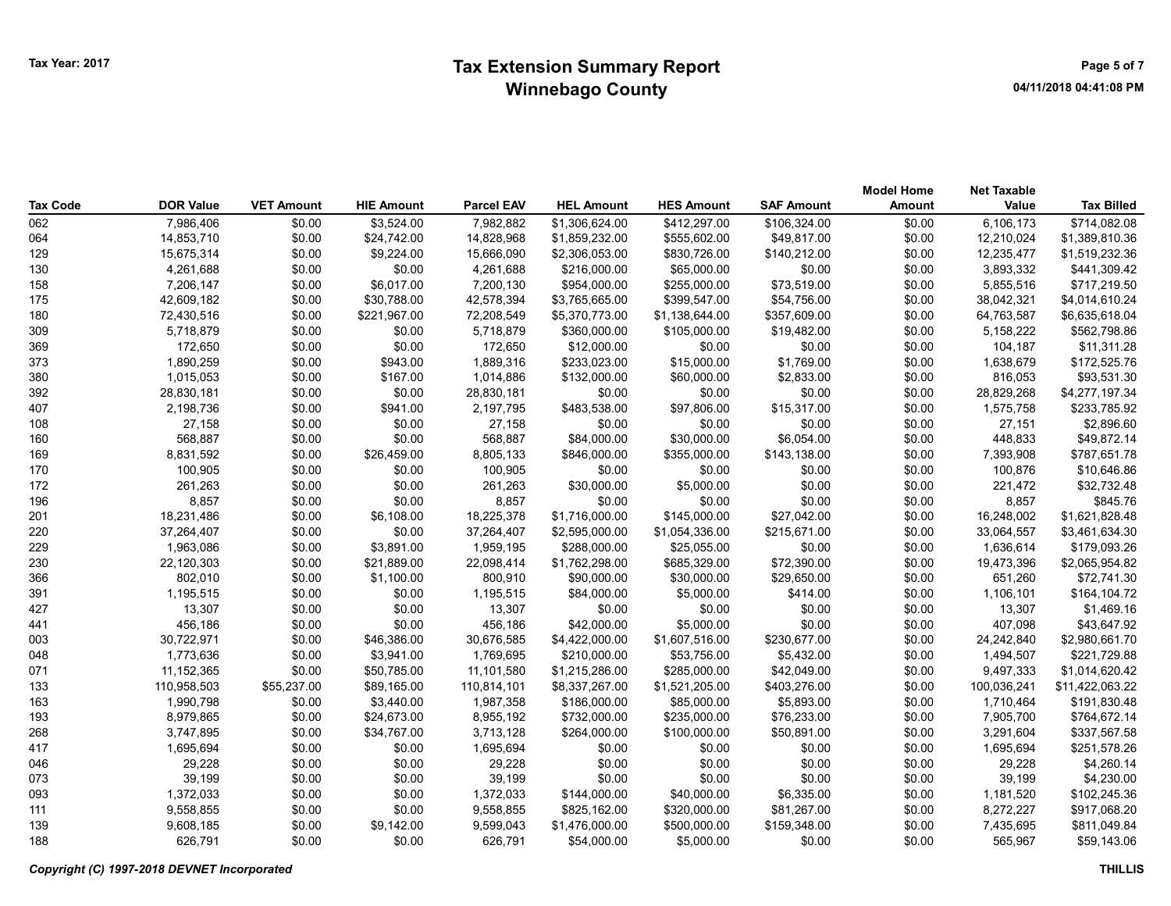## Tax Year: 2017 **Extension Summary Report Number 2017** Page 5 of 7 Winnebago County

| <b>Tax Code</b> | <b>DOR Value</b> | <b>VET Amount</b> | <b>HIE Amount</b> | <b>Parcel EAV</b> | <b>HEL Amount</b> | <b>HES Amount</b> | <b>SAF Amount</b> | <b>Model Home</b><br><b>Amount</b> | <b>Net Taxable</b><br>Value | <b>Tax Billed</b> |
|-----------------|------------------|-------------------|-------------------|-------------------|-------------------|-------------------|-------------------|------------------------------------|-----------------------------|-------------------|
| 062             | 7,986,406        | \$0.00            | \$3,524.00        | 7,982,882         | \$1,306,624.00    | \$412,297.00      | \$106,324.00      | \$0.00                             | 6,106,173                   | \$714,082.08      |
| 064             | 14,853,710       | \$0.00            | \$24,742.00       | 14,828,968        | \$1,859,232.00    | \$555,602.00      | \$49,817.00       | \$0.00                             | 12,210,024                  | \$1,389,810.36    |
| 129             | 15,675,314       | \$0.00            | \$9,224.00        | 15,666,090        | \$2,306,053.00    | \$830,726.00      | \$140,212.00      | \$0.00                             | 12,235,477                  | \$1,519,232.36    |
| 130             | 4,261,688        | \$0.00            | \$0.00            | 4,261,688         | \$216,000.00      | \$65,000.00       | \$0.00            | \$0.00                             | 3,893,332                   | \$441,309.42      |
| 158             | 7,206,147        | \$0.00            | \$6,017.00        | 7,200,130         | \$954,000.00      | \$255,000.00      | \$73,519.00       | \$0.00                             | 5,855,516                   | \$717,219.50      |
| 175             | 42,609,182       | \$0.00            | \$30,788.00       | 42,578,394        | \$3,765,665.00    | \$399,547.00      | \$54,756.00       | \$0.00                             | 38,042,321                  | \$4,014,610.24    |
| 180             | 72,430,516       | \$0.00            | \$221,967.00      | 72,208,549        | \$5,370,773.00    | \$1,138,644.00    | \$357,609.00      | \$0.00                             | 64,763,587                  | \$6,635,618.04    |
| 309             | 5,718,879        | \$0.00            | \$0.00            | 5,718,879         | \$360,000.00      | \$105,000.00      | \$19,482.00       | \$0.00                             | 5,158,222                   | \$562,798.86      |
| 369             | 172,650          | \$0.00            | \$0.00            | 172,650           | \$12,000.00       | \$0.00            | \$0.00            | \$0.00                             | 104,187                     | \$11,311.28       |
| 373             | 1,890,259        | \$0.00            | \$943.00          | 1,889,316         | \$233,023.00      | \$15,000.00       | \$1,769.00        | \$0.00                             | 1,638,679                   | \$172,525.76      |
| 380             | 1,015,053        | \$0.00            | \$167.00          | 1,014,886         | \$132,000.00      | \$60,000.00       | \$2,833.00        | \$0.00                             | 816,053                     | \$93,531.30       |
| 392             | 28,830,181       | \$0.00            | \$0.00            | 28,830,181        | \$0.00            | \$0.00            | \$0.00            | \$0.00                             | 28,829,268                  | \$4,277,197.34    |
| 407             | 2,198,736        | \$0.00            | \$941.00          | 2,197,795         | \$483,538.00      | \$97,806.00       | \$15,317.00       | \$0.00                             | 1,575,758                   | \$233,785.92      |
| 108             | 27,158           | \$0.00            | \$0.00            | 27,158            | \$0.00            | \$0.00            | \$0.00            | \$0.00                             | 27,151                      | \$2,896.60        |
| 160             | 568,887          | \$0.00            | \$0.00            | 568,887           | \$84,000.00       | \$30,000.00       | \$6,054.00        | \$0.00                             | 448,833                     | \$49,872.14       |
| 169             | 8,831,592        | \$0.00            | \$26,459.00       | 8,805,133         | \$846,000.00      | \$355,000.00      | \$143,138.00      | \$0.00                             | 7,393,908                   | \$787,651.78      |
| 170             | 100,905          | \$0.00            | \$0.00            | 100,905           | \$0.00            | \$0.00            | \$0.00            | \$0.00                             | 100,876                     | \$10,646.86       |
| 172             | 261,263          | \$0.00            | \$0.00            | 261,263           | \$30,000.00       | \$5,000.00        | \$0.00            | \$0.00                             | 221,472                     | \$32,732.48       |
| 196             | 8,857            | \$0.00            | \$0.00            | 8,857             | \$0.00            | \$0.00            | \$0.00            | \$0.00                             | 8,857                       | \$845.76          |
| 201             | 18,231,486       | \$0.00            | \$6,108.00        | 18,225,378        | \$1,716,000.00    | \$145,000.00      | \$27,042.00       | \$0.00                             | 16,248,002                  | \$1,621,828.48    |
| 220             | 37,264,407       | \$0.00            | \$0.00            | 37,264,407        | \$2,595,000.00    | \$1,054,336.00    | \$215,671.00      | \$0.00                             | 33,064,557                  | \$3,461,634.30    |
| 229             | 1,963,086        | \$0.00            | \$3,891.00        | 1,959,195         | \$288,000.00      | \$25,055.00       | \$0.00            | \$0.00                             | 1,636,614                   | \$179,093.26      |
| 230             | 22,120,303       | \$0.00            | \$21,889.00       | 22,098,414        | \$1,762,298.00    | \$685,329.00      | \$72,390.00       | \$0.00                             | 19,473,396                  | \$2,065,954.82    |
| 366             | 802,010          | \$0.00            | \$1,100.00        | 800,910           | \$90,000.00       | \$30,000.00       | \$29,650.00       | \$0.00                             | 651,260                     | \$72,741.30       |
| 391             | 1,195,515        | \$0.00            | \$0.00            | 1,195,515         | \$84,000.00       | \$5,000.00        | \$414.00          | \$0.00                             | 1,106,101                   | \$164,104.72      |
| 427             | 13,307           | \$0.00            | \$0.00            | 13,307            | \$0.00            | \$0.00            | \$0.00            | \$0.00                             | 13,307                      | \$1,469.16        |
| 441             | 456,186          | \$0.00            | \$0.00            | 456,186           | \$42,000.00       | \$5,000.00        | \$0.00            | \$0.00                             | 407,098                     | \$43,647.92       |
| 003             | 30,722,971       | \$0.00            | \$46,386.00       | 30,676,585        | \$4,422,000.00    | \$1,607,516.00    | \$230,677.00      | \$0.00                             | 24,242,840                  | \$2,980,661.70    |
| 048             | 1,773,636        | \$0.00            | \$3,941.00        | 1,769,695         | \$210,000.00      | \$53,756.00       | \$5,432.00        | \$0.00                             | 1,494,507                   | \$221,729.88      |
| 071             | 11,152,365       | \$0.00            | \$50,785.00       | 11,101,580        | \$1,215,286.00    | \$285,000.00      | \$42,049.00       | \$0.00                             | 9,497,333                   | \$1,014,620.42    |
| 133             | 110,958,503      | \$55,237.00       | \$89,165.00       | 110,814,101       | \$8,337,267.00    | \$1,521,205.00    | \$403,276.00      | \$0.00                             | 100,036,241                 | \$11,422,063.22   |
| 163             | 1,990,798        | \$0.00            | \$3,440.00        | 1,987,358         | \$186,000.00      | \$85,000.00       | \$5,893.00        | \$0.00                             | 1,710,464                   | \$191,830.48      |
| 193             | 8,979,865        | \$0.00            | \$24,673.00       | 8,955,192         | \$732,000.00      | \$235,000.00      | \$76,233.00       | \$0.00                             | 7,905,700                   | \$764,672.14      |
| 268             | 3,747,895        | \$0.00            | \$34,767.00       | 3,713,128         | \$264,000.00      | \$100,000.00      | \$50,891.00       | \$0.00                             | 3,291,604                   | \$337,567.58      |
| 417             | 1,695,694        | \$0.00            | \$0.00            | 1,695,694         | \$0.00            | \$0.00            | \$0.00            | \$0.00                             | 1,695,694                   | \$251,578.26      |
| 046             | 29,228           | \$0.00            | \$0.00            | 29,228            | \$0.00            | \$0.00            | \$0.00            | \$0.00                             | 29,228                      | \$4,260.14        |
| 073             | 39,199           | \$0.00            | \$0.00            | 39,199            | \$0.00            | \$0.00            | \$0.00            | \$0.00                             | 39,199                      | \$4,230.00        |
| 093             | 1,372,033        | \$0.00            | \$0.00            | 1,372,033         | \$144,000.00      | \$40,000.00       | \$6,335.00        | \$0.00                             | 1,181,520                   | \$102,245.36      |
| 111             | 9,558,855        | \$0.00            | \$0.00            | 9,558,855         | \$825,162.00      | \$320,000.00      | \$81,267.00       | \$0.00                             | 8,272,227                   | \$917,068.20      |
| 139             | 9,608,185        | \$0.00            | \$9,142.00        | 9,599,043         | \$1,476,000.00    | \$500,000.00      | \$159,348.00      | \$0.00                             | 7,435,695                   | \$811,049.84      |
| 188             | 626.791          | \$0.00            | \$0.00            | 626.791           | \$54,000.00       | \$5,000.00        | \$0.00            | \$0.00                             | 565.967                     | \$59,143.06       |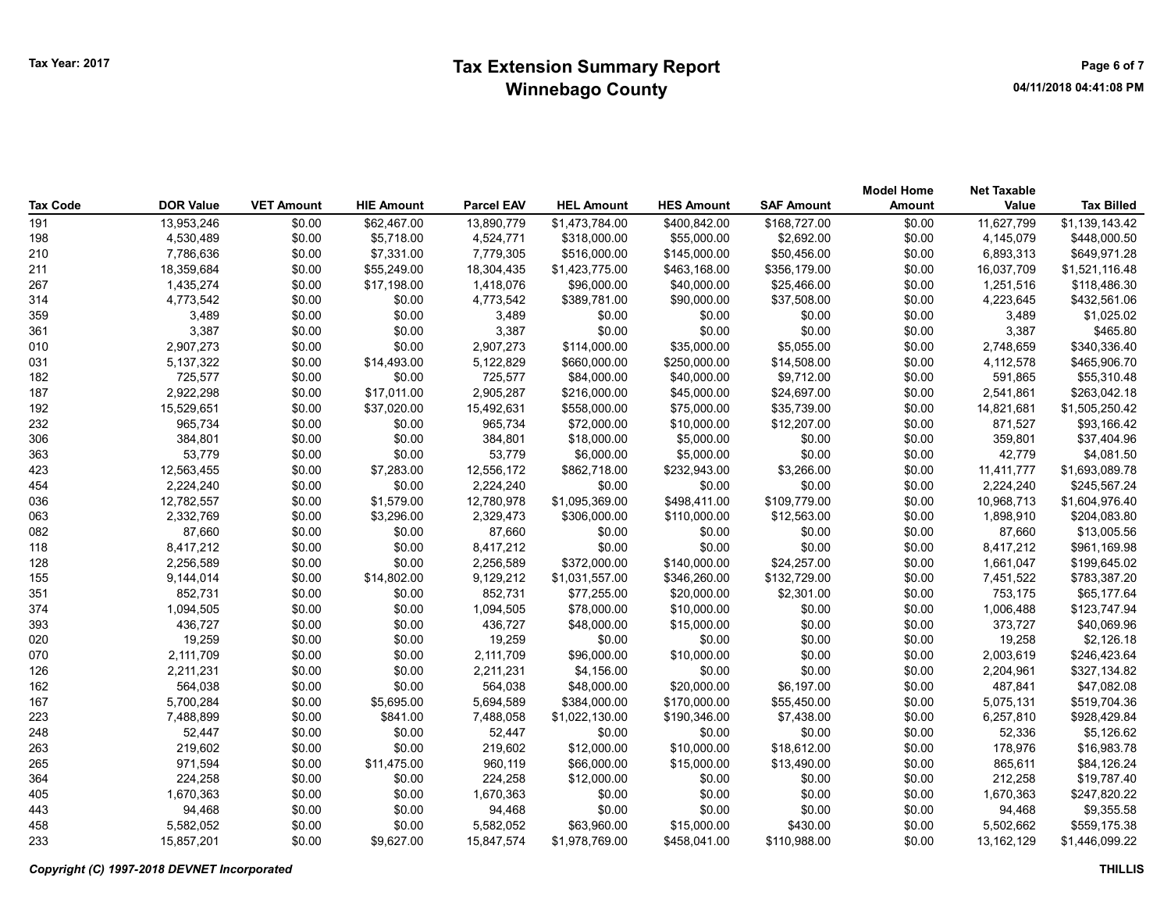## Tax Year: 2017 **Extension Summary Report Number 2017** Page 6 of 7 Winnebago County

| Tax Code | <b>DOR Value</b> | <b>VET Amount</b> | <b>HIE Amount</b> | <b>Parcel EAV</b> | <b>HEL Amount</b> | <b>HES Amount</b> | <b>SAF Amount</b> | <b>Model Home</b><br>Amount | <b>Net Taxable</b><br>Value | <b>Tax Billed</b> |
|----------|------------------|-------------------|-------------------|-------------------|-------------------|-------------------|-------------------|-----------------------------|-----------------------------|-------------------|
| 191      | 13,953,246       | \$0.00            | \$62,467.00       | 13,890,779        | \$1,473,784.00    | \$400,842.00      | \$168,727.00      | \$0.00                      | 11,627,799                  | \$1,139,143.42    |
| 198      | 4,530,489        | \$0.00            | \$5,718.00        | 4,524,771         | \$318,000.00      | \$55,000.00       | \$2,692.00        | \$0.00                      | 4,145,079                   | \$448,000.50      |
| 210      | 7,786,636        | \$0.00            | \$7,331.00        | 7,779,305         | \$516,000.00      | \$145,000.00      | \$50,456.00       | \$0.00                      | 6,893,313                   | \$649,971.28      |
| 211      | 18,359,684       | \$0.00            | \$55,249.00       | 18,304,435        | \$1,423,775.00    | \$463,168.00      | \$356,179.00      | \$0.00                      | 16,037,709                  | \$1,521,116.48    |
| 267      | 1,435,274        | \$0.00            | \$17,198.00       | 1,418,076         | \$96,000.00       | \$40,000.00       | \$25,466.00       | \$0.00                      | 1,251,516                   | \$118,486.30      |
| 314      | 4,773,542        | \$0.00            | \$0.00            | 4,773,542         | \$389,781.00      | \$90,000.00       | \$37,508.00       | \$0.00                      | 4,223,645                   | \$432,561.06      |
| 359      | 3,489            | \$0.00            | \$0.00            | 3,489             | \$0.00            | \$0.00            | \$0.00            | \$0.00                      | 3,489                       | \$1,025.02        |
| 361      | 3,387            | \$0.00            | \$0.00            | 3,387             | \$0.00            | \$0.00            | \$0.00            | \$0.00                      | 3,387                       | \$465.80          |
| 010      | 2,907,273        | \$0.00            | \$0.00            | 2,907,273         | \$114,000.00      | \$35,000.00       | \$5,055.00        | \$0.00                      | 2,748,659                   | \$340,336.40      |
| 031      | 5,137,322        | \$0.00            | \$14,493.00       | 5,122,829         | \$660,000.00      | \$250,000.00      | \$14,508.00       | \$0.00                      | 4,112,578                   | \$465,906.70      |
| 182      | 725,577          | \$0.00            | \$0.00            | 725,577           | \$84,000.00       | \$40,000.00       | \$9,712.00        | \$0.00                      | 591,865                     | \$55,310.48       |
| 187      | 2,922,298        | \$0.00            | \$17,011.00       | 2,905,287         | \$216,000.00      | \$45,000.00       | \$24,697.00       | \$0.00                      | 2,541,861                   | \$263,042.18      |
| 192      | 15,529,651       | \$0.00            | \$37,020.00       | 15,492,631        | \$558,000.00      | \$75,000.00       | \$35,739.00       | \$0.00                      | 14,821,681                  | \$1,505,250.42    |
| 232      | 965,734          | \$0.00            | \$0.00            | 965,734           | \$72,000.00       | \$10,000.00       | \$12,207.00       | \$0.00                      | 871,527                     | \$93,166.42       |
| 306      | 384,801          | \$0.00            | \$0.00            | 384,801           | \$18,000.00       | \$5,000.00        | \$0.00            | \$0.00                      | 359,801                     | \$37,404.96       |
| 363      | 53,779           | \$0.00            | \$0.00            | 53,779            | \$6,000.00        | \$5,000.00        | \$0.00            | \$0.00                      | 42,779                      | \$4,081.50        |
| 423      | 12,563,455       | \$0.00            | \$7,283.00        | 12,556,172        | \$862,718.00      | \$232,943.00      | \$3,266.00        | \$0.00                      | 11,411,777                  | \$1,693,089.78    |
| 454      | 2,224,240        | \$0.00            | \$0.00            | 2,224,240         | \$0.00            | \$0.00            | \$0.00            | \$0.00                      | 2,224,240                   | \$245,567.24      |
| 036      | 12,782,557       | \$0.00            | \$1,579.00        | 12,780,978        | \$1,095,369.00    | \$498,411.00      | \$109,779.00      | \$0.00                      | 10,968,713                  | \$1,604,976.40    |
| 063      | 2,332,769        | \$0.00            | \$3,296.00        | 2,329,473         | \$306,000.00      | \$110,000.00      | \$12,563.00       | \$0.00                      | 1,898,910                   | \$204,083.80      |
| 082      | 87,660           | \$0.00            | \$0.00            | 87,660            | \$0.00            | \$0.00            | \$0.00            | \$0.00                      | 87,660                      | \$13,005.56       |
| 118      | 8,417,212        | \$0.00            | \$0.00            | 8,417,212         | \$0.00            | \$0.00            | \$0.00            | \$0.00                      | 8,417,212                   | \$961,169.98      |
| 128      | 2,256,589        | \$0.00            | \$0.00            | 2,256,589         | \$372,000.00      | \$140,000.00      | \$24,257.00       | \$0.00                      | 1,661,047                   | \$199,645.02      |
| 155      | 9,144,014        | \$0.00            | \$14,802.00       | 9,129,212         | \$1,031,557.00    | \$346,260.00      | \$132,729.00      | \$0.00                      | 7,451,522                   | \$783,387.20      |
| 351      | 852,731          | \$0.00            | \$0.00            | 852,731           | \$77,255.00       | \$20,000.00       | \$2,301.00        | \$0.00                      | 753,175                     | \$65,177.64       |
| 374      | 1,094,505        | \$0.00            | \$0.00            | 1,094,505         | \$78,000.00       | \$10,000.00       | \$0.00            | \$0.00                      | 1,006,488                   | \$123,747.94      |
| 393      | 436,727          | \$0.00            | \$0.00            | 436,727           | \$48,000.00       | \$15,000.00       | \$0.00            | \$0.00                      | 373,727                     | \$40,069.96       |
| 020      | 19,259           | \$0.00            | \$0.00            | 19,259            | \$0.00            | \$0.00            | \$0.00            | \$0.00                      | 19,258                      | \$2,126.18        |
| 070      | 2,111,709        | \$0.00            | \$0.00            | 2,111,709         | \$96,000.00       | \$10,000.00       | \$0.00            | \$0.00                      | 2,003,619                   | \$246,423.64      |
| 126      | 2,211,231        | \$0.00            | \$0.00            | 2,211,231         | \$4,156.00        | \$0.00            | \$0.00            | \$0.00                      | 2,204,961                   | \$327,134.82      |
| 162      | 564,038          | \$0.00            | \$0.00            | 564,038           | \$48,000.00       | \$20,000.00       | \$6,197.00        | \$0.00                      | 487,841                     | \$47,082.08       |
| 167      | 5,700,284        | \$0.00            | \$5,695.00        | 5,694,589         | \$384,000.00      | \$170,000.00      | \$55,450.00       | \$0.00                      | 5,075,131                   | \$519,704.36      |
| 223      | 7,488,899        | \$0.00            | \$841.00          | 7,488,058         | \$1,022,130.00    | \$190,346.00      | \$7,438.00        | \$0.00                      | 6,257,810                   | \$928,429.84      |
| 248      | 52,447           | \$0.00            | \$0.00            | 52,447            | \$0.00            | \$0.00            | \$0.00            | \$0.00                      | 52,336                      | \$5,126.62        |
| 263      | 219,602          | \$0.00            | \$0.00            | 219,602           | \$12,000.00       | \$10,000.00       | \$18,612.00       | \$0.00                      | 178,976                     | \$16,983.78       |
| 265      | 971,594          | \$0.00            | \$11,475.00       | 960,119           | \$66,000.00       | \$15,000.00       | \$13,490.00       | \$0.00                      | 865,611                     | \$84,126.24       |
| 364      | 224,258          | \$0.00            | \$0.00            | 224,258           | \$12,000.00       | \$0.00            | \$0.00            | \$0.00                      | 212,258                     | \$19,787.40       |
| 405      | 1,670,363        | \$0.00            | \$0.00            | 1,670,363         | \$0.00            | \$0.00            | \$0.00            | \$0.00                      | 1,670,363                   | \$247,820.22      |
| 443      | 94,468           | \$0.00            | \$0.00            | 94,468            | \$0.00            | \$0.00            | \$0.00            | \$0.00                      | 94,468                      | \$9,355.58        |
| 458      | 5,582,052        | \$0.00            | \$0.00            | 5,582,052         | \$63,960.00       | \$15,000.00       | \$430.00          | \$0.00                      | 5,502,662                   | \$559,175.38      |
| 233      | 15,857,201       | \$0.00            | \$9,627.00        | 15.847.574        | \$1.978.769.00    | \$458,041.00      | \$110.988.00      | \$0.00                      | 13,162,129                  | \$1,446,099.22    |